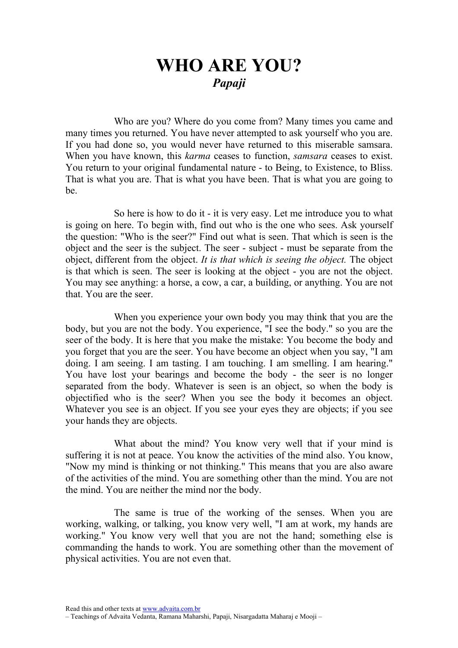## WHO ARE YOU? Papaji

Who are you? Where do you come from? Many times you came and many times you returned. You have never attempted to ask yourself who you are. If you had done so, you would never have returned to this miserable samsara. When you have known, this *karma* ceases to function, *samsara* ceases to exist. You return to your original fundamental nature - to Being, to Existence, to Bliss. That is what you are. That is what you have been. That is what you are going to be.

So here is how to do it - it is very easy. Let me introduce you to what is going on here. To begin with, find out who is the one who sees. Ask yourself the question: "Who is the seer?" Find out what is seen. That which is seen is the object and the seer is the subject. The seer - subject - must be separate from the object, different from the object. It is that which is seeing the object. The object is that which is seen. The seer is looking at the object - you are not the object. You may see anything: a horse, a cow, a car, a building, or anything. You are not that. You are the seer.

When you experience your own body you may think that you are the body, but you are not the body. You experience, "I see the body." so you are the seer of the body. It is here that you make the mistake: You become the body and you forget that you are the seer. You have become an object when you say, "I am doing. I am seeing. I am tasting. I am touching. I am smelling. I am hearing." You have lost your bearings and become the body - the seer is no longer separated from the body. Whatever is seen is an object, so when the body is objectified who is the seer? When you see the body it becomes an object. Whatever you see is an object. If you see your eyes they are objects; if you see your hands they are objects.

What about the mind? You know very well that if your mind is suffering it is not at peace. You know the activities of the mind also. You know, "Now my mind is thinking or not thinking." This means that you are also aware of the activities of the mind. You are something other than the mind. You are not the mind. You are neither the mind nor the body.

The same is true of the working of the senses. When you are working, walking, or talking, you know very well, "I am at work, my hands are working." You know very well that you are not the hand; something else is commanding the hands to work. You are something other than the movement of physical activities. You are not even that.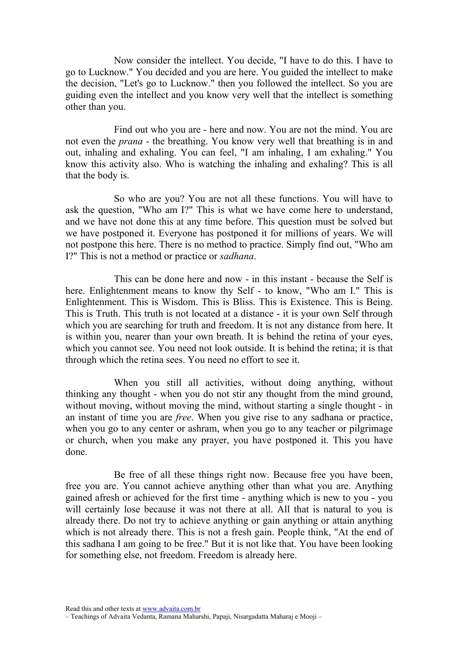Now consider the intellect. You decide, "I have to do this. I have to go to Lucknow." You decided and you are here. You guided the intellect to make the decision, "Let's go to Lucknow." then you followed the intellect. So you are guiding even the intellect and you know very well that the intellect is something other than you.

Find out who you are - here and now. You are not the mind. You are not even the prana - the breathing. You know very well that breathing is in and out, inhaling and exhaling. You can feel, "I am inhaling, I am exhaling." You know this activity also. Who is watching the inhaling and exhaling? This is all that the body is.

So who are you? You are not all these functions. You will have to ask the question, "Who am I?" This is what we have come here to understand, and we have not done this at any time before. This question must be solved but we have postponed it. Everyone has postponed it for millions of years. We will not postpone this here. There is no method to practice. Simply find out, "Who am I?" This is not a method or practice or sadhana.

This can be done here and now - in this instant - because the Self is here. Enlightenment means to know thy Self - to know, "Who am I." This is Enlightenment. This is Wisdom. This is Bliss. This is Existence. This is Being. This is Truth. This truth is not located at a distance - it is your own Self through which you are searching for truth and freedom. It is not any distance from here. It is within you, nearer than your own breath. It is behind the retina of your eyes, which you cannot see. You need not look outside. It is behind the retina; it is that through which the retina sees. You need no effort to see it.

When you still all activities, without doing anything, without thinking any thought - when you do not stir any thought from the mind ground, without moving, without moving the mind, without starting a single thought - in an instant of time you are free. When you give rise to any sadhana or practice, when you go to any center or ashram, when you go to any teacher or pilgrimage or church, when you make any prayer, you have postponed it. This you have done.

Be free of all these things right now. Because free you have been, free you are. You cannot achieve anything other than what you are. Anything gained afresh or achieved for the first time - anything which is new to you - you will certainly lose because it was not there at all. All that is natural to you is already there. Do not try to achieve anything or gain anything or attain anything which is not already there. This is not a fresh gain. People think, "At the end of this sadhana I am going to be free." But it is not like that. You have been looking for something else, not freedom. Freedom is already here.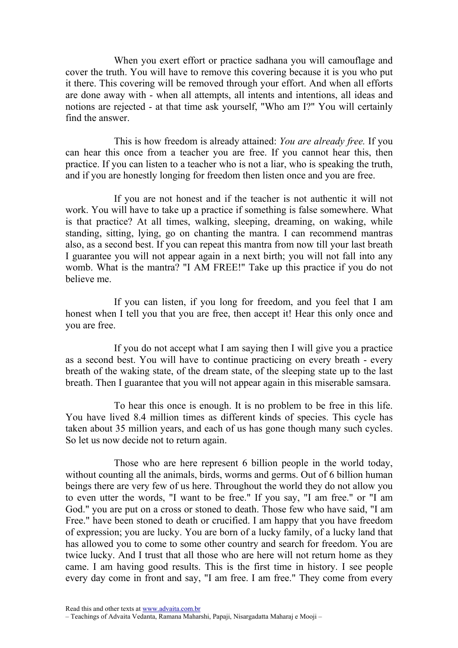When you exert effort or practice sadhana you will camouflage and cover the truth. You will have to remove this covering because it is you who put it there. This covering will be removed through your effort. And when all efforts are done away with - when all attempts, all intents and intentions, all ideas and notions are rejected - at that time ask yourself, "Who am I?" You will certainly find the answer.

This is how freedom is already attained: You are already free. If you can hear this once from a teacher you are free. If you cannot hear this, then practice. If you can listen to a teacher who is not a liar, who is speaking the truth, and if you are honestly longing for freedom then listen once and you are free.

If you are not honest and if the teacher is not authentic it will not work. You will have to take up a practice if something is false somewhere. What is that practice? At all times, walking, sleeping, dreaming, on waking, while standing, sitting, lying, go on chanting the mantra. I can recommend mantras also, as a second best. If you can repeat this mantra from now till your last breath I guarantee you will not appear again in a next birth; you will not fall into any womb. What is the mantra? "I AM FREE!" Take up this practice if you do not believe me.

If you can listen, if you long for freedom, and you feel that I am honest when I tell you that you are free, then accept it! Hear this only once and you are free.

If you do not accept what I am saying then I will give you a practice as a second best. You will have to continue practicing on every breath - every breath of the waking state, of the dream state, of the sleeping state up to the last breath. Then I guarantee that you will not appear again in this miserable samsara.

To hear this once is enough. It is no problem to be free in this life. You have lived 8.4 million times as different kinds of species. This cycle has taken about 35 million years, and each of us has gone though many such cycles. So let us now decide not to return again.

Those who are here represent 6 billion people in the world today, without counting all the animals, birds, worms and germs. Out of 6 billion human beings there are very few of us here. Throughout the world they do not allow you to even utter the words, "I want to be free." If you say, "I am free." or "I am God." you are put on a cross or stoned to death. Those few who have said, "I am Free." have been stoned to death or crucified. I am happy that you have freedom of expression; you are lucky. You are born of a lucky family, of a lucky land that has allowed you to come to some other country and search for freedom. You are twice lucky. And I trust that all those who are here will not return home as they came. I am having good results. This is the first time in history. I see people every day come in front and say, "I am free. I am free." They come from every

Read this and other texts at www.advaita.com.br

<sup>–</sup> Teachings of Advaita Vedanta, Ramana Maharshi, Papaji, Nisargadatta Maharaj e Mooji –